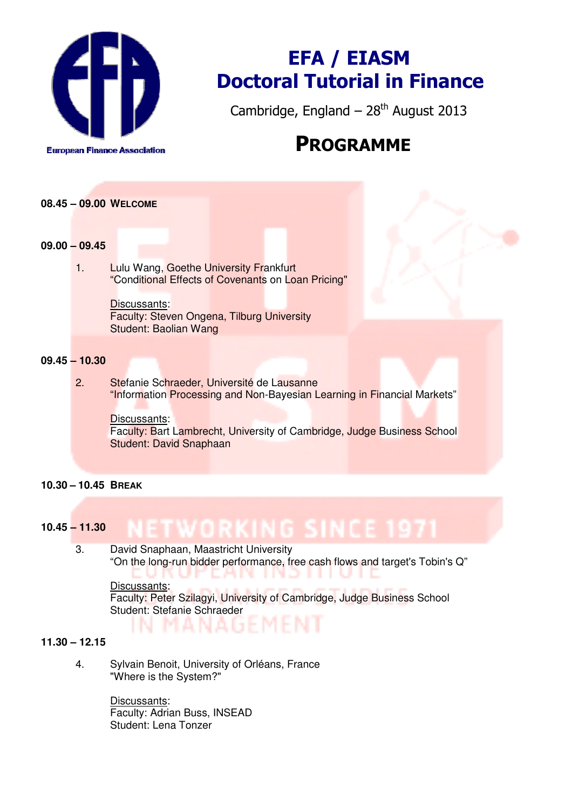

# EFA / EIASM Doctoral Tutorial in Finance

Cambridge, England –  $28<sup>th</sup>$  August 2013

## PROGRAMME

## **08.45 – 09.00 WELCOME**

#### **09.00 – 09.45**

1. Lulu Wang, Goethe University Frankfurt "Conditional Effects of Covenants on Loan Pricing"

> Discussants: Faculty: Steven Ongena, Tilburg University Student: Baolian Wang

## **09.45 – 10.30**

2. Stefanie Schraeder, Université de Lausanne "Information Processing and Non-Bayesian Learning in Financial Markets"

Discussants: Faculty: Bart Lambrecht, University of Cambridge, Judge Business School Student: David Snaphaan

## **10.30 – 10.45 BREAK**

#### ETWORKING SINCE 1 **10.45 – 11.30**

NAGE

3. David Snaphaan, Maastricht University "On the long-run bidder performance, free cash flows and target's Tobin's Q" E ANTIN Discussants:

Faculty: Peter Szilagyi, University of Cambridge, Judge Business School Student: Stefanie Schraeder

## **11.30 – 12.15**

4. Sylvain Benoit, University of Orléans, France "Where is the System?"

> Discussants: Faculty: Adrian Buss, INSEAD Student: Lena Tonzer